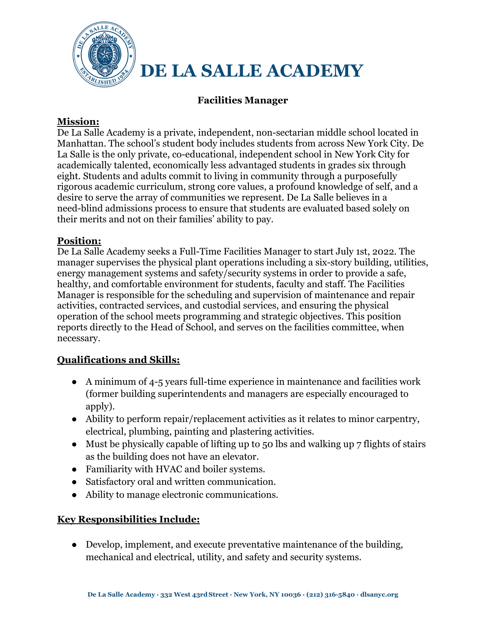

# **Facilities Manager**

## **Mission:**

De La Salle Academy is a private, independent, non-sectarian middle school located in Manhattan. The school's student body includes students from across New York City. De La Salle is the only private, co-educational, independent school in New York City for academically talented, economically less advantaged students in grades six through eight. Students and adults commit to living in community through a purposefully rigorous academic curriculum, strong core values, a profound knowledge of self, and a desire to serve the array of communities we represent. De La Salle believes in a need-blind admissions process to ensure that students are evaluated based solely on their merits and not on their families' ability to pay.

### **Position:**

De La Salle Academy seeks a Full-Time Facilities Manager to start July 1st, 2022. The manager supervises the physical plant operations including a six-story building, utilities, energy management systems and safety/security systems in order to provide a safe, healthy, and comfortable environment for students, faculty and staff. The Facilities Manager is responsible for the scheduling and supervision of maintenance and repair activities, contracted services, and custodial services, and ensuring the physical operation of the school meets programming and strategic objectives. This position reports directly to the Head of School, and serves on the facilities committee, when necessary.

## **Qualifications and Skills:**

- A minimum of 4-5 years full-time experience in maintenance and facilities work (former building superintendents and managers are especially encouraged to apply).
- Ability to perform repair/replacement activities as it relates to minor carpentry, electrical, plumbing, painting and plastering activities.
- Must be physically capable of lifting up to 50 lbs and walking up 7 flights of stairs as the building does not have an elevator.
- Familiarity with HVAC and boiler systems.
- Satisfactory oral and written communication.
- Ability to manage electronic communications.

## **Key Responsibilities Include:**

• Develop, implement, and execute preventative maintenance of the building, mechanical and electrical, utility, and safety and security systems.